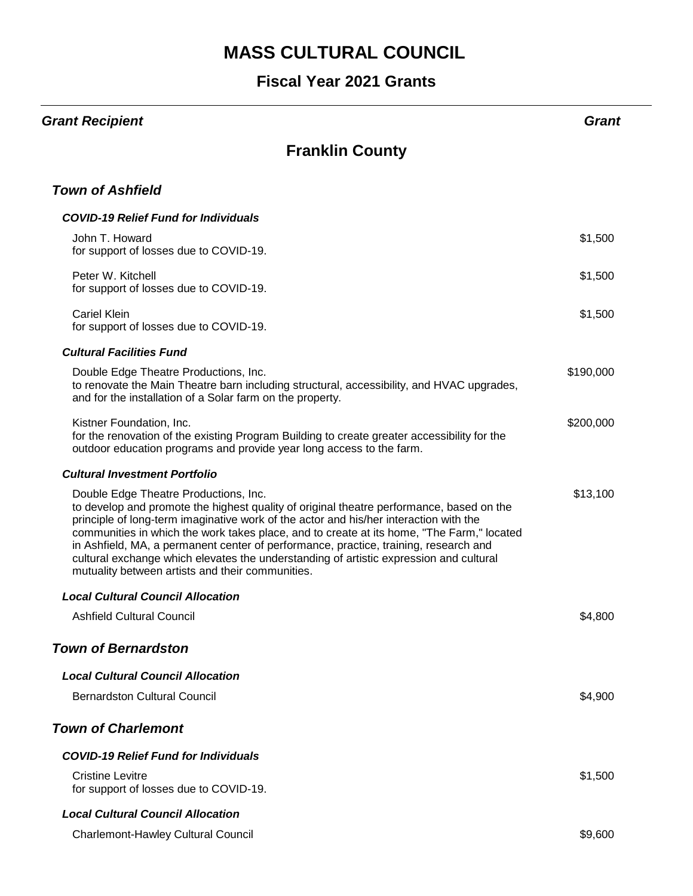#### **Fiscal Year 2021 Grants**

#### *Grant Recipient Grant*

### **Franklin County**

#### *Town of Ashfield*

| <b>COVID-19 Relief Fund for Individuals</b>                                                                                                                                                                                                                                                                                                                                                                                                                                                                                                                   |           |
|---------------------------------------------------------------------------------------------------------------------------------------------------------------------------------------------------------------------------------------------------------------------------------------------------------------------------------------------------------------------------------------------------------------------------------------------------------------------------------------------------------------------------------------------------------------|-----------|
| John T. Howard<br>for support of losses due to COVID-19.                                                                                                                                                                                                                                                                                                                                                                                                                                                                                                      | \$1,500   |
| Peter W. Kitchell<br>for support of losses due to COVID-19.                                                                                                                                                                                                                                                                                                                                                                                                                                                                                                   | \$1,500   |
| <b>Cariel Klein</b><br>for support of losses due to COVID-19.                                                                                                                                                                                                                                                                                                                                                                                                                                                                                                 | \$1,500   |
| <b>Cultural Facilities Fund</b>                                                                                                                                                                                                                                                                                                                                                                                                                                                                                                                               |           |
| Double Edge Theatre Productions, Inc.<br>to renovate the Main Theatre barn including structural, accessibility, and HVAC upgrades,<br>and for the installation of a Solar farm on the property.                                                                                                                                                                                                                                                                                                                                                               | \$190,000 |
| Kistner Foundation, Inc.<br>for the renovation of the existing Program Building to create greater accessibility for the<br>outdoor education programs and provide year long access to the farm.                                                                                                                                                                                                                                                                                                                                                               | \$200,000 |
| <b>Cultural Investment Portfolio</b>                                                                                                                                                                                                                                                                                                                                                                                                                                                                                                                          |           |
| Double Edge Theatre Productions, Inc.<br>to develop and promote the highest quality of original theatre performance, based on the<br>principle of long-term imaginative work of the actor and his/her interaction with the<br>communities in which the work takes place, and to create at its home, "The Farm," located<br>in Ashfield, MA, a permanent center of performance, practice, training, research and<br>cultural exchange which elevates the understanding of artistic expression and cultural<br>mutuality between artists and their communities. | \$13,100  |
| <b>Local Cultural Council Allocation</b>                                                                                                                                                                                                                                                                                                                                                                                                                                                                                                                      |           |
| <b>Ashfield Cultural Council</b>                                                                                                                                                                                                                                                                                                                                                                                                                                                                                                                              | \$4,800   |
| <b>Town of Bernardston</b>                                                                                                                                                                                                                                                                                                                                                                                                                                                                                                                                    |           |
| <b>Local Cultural Council Allocation</b>                                                                                                                                                                                                                                                                                                                                                                                                                                                                                                                      |           |
| <b>Bernardston Cultural Council</b>                                                                                                                                                                                                                                                                                                                                                                                                                                                                                                                           | \$4,900   |
| <b>Town of Charlemont</b>                                                                                                                                                                                                                                                                                                                                                                                                                                                                                                                                     |           |
| <b>COVID-19 Relief Fund for Individuals</b>                                                                                                                                                                                                                                                                                                                                                                                                                                                                                                                   |           |
| <b>Cristine Levitre</b><br>for support of losses due to COVID-19.                                                                                                                                                                                                                                                                                                                                                                                                                                                                                             | \$1,500   |
| <b>Local Cultural Council Allocation</b>                                                                                                                                                                                                                                                                                                                                                                                                                                                                                                                      |           |
| <b>Charlemont-Hawley Cultural Council</b>                                                                                                                                                                                                                                                                                                                                                                                                                                                                                                                     | \$9,600   |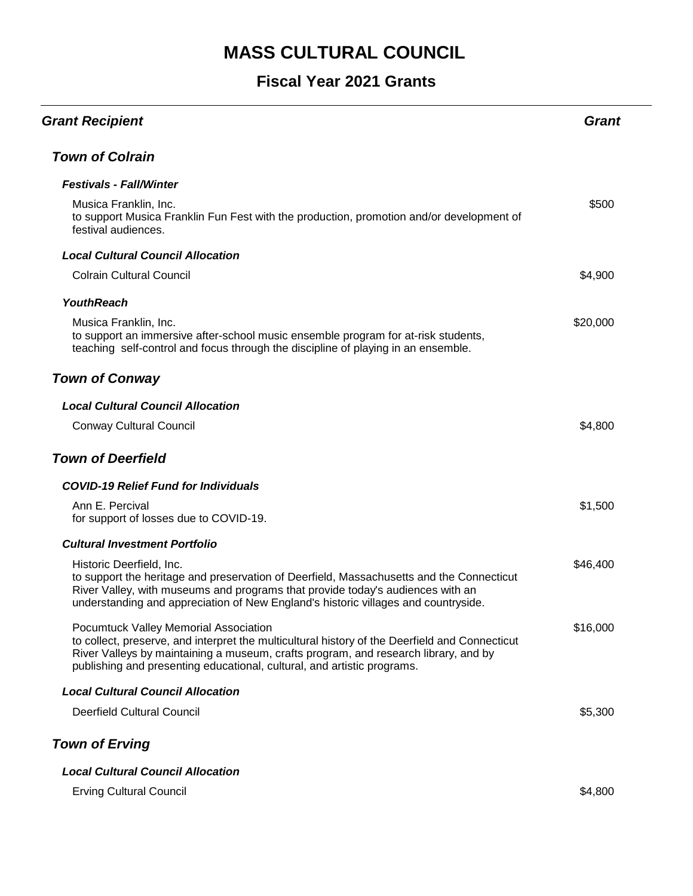| <b>Grant Recipient</b>                                                                                                                                                                                                                                                                                    | Grant    |
|-----------------------------------------------------------------------------------------------------------------------------------------------------------------------------------------------------------------------------------------------------------------------------------------------------------|----------|
| <b>Town of Colrain</b>                                                                                                                                                                                                                                                                                    |          |
| <b>Festivals - Fall/Winter</b>                                                                                                                                                                                                                                                                            |          |
| Musica Franklin, Inc.<br>to support Musica Franklin Fun Fest with the production, promotion and/or development of<br>festival audiences.                                                                                                                                                                  | \$500    |
| <b>Local Cultural Council Allocation</b>                                                                                                                                                                                                                                                                  |          |
| <b>Colrain Cultural Council</b>                                                                                                                                                                                                                                                                           | \$4,900  |
| <b>YouthReach</b>                                                                                                                                                                                                                                                                                         |          |
| Musica Franklin, Inc.<br>to support an immersive after-school music ensemble program for at-risk students,<br>teaching self-control and focus through the discipline of playing in an ensemble.                                                                                                           | \$20,000 |
| <b>Town of Conway</b>                                                                                                                                                                                                                                                                                     |          |
| <b>Local Cultural Council Allocation</b>                                                                                                                                                                                                                                                                  |          |
| <b>Conway Cultural Council</b>                                                                                                                                                                                                                                                                            | \$4,800  |
| <b>Town of Deerfield</b>                                                                                                                                                                                                                                                                                  |          |
| <b>COVID-19 Relief Fund for Individuals</b>                                                                                                                                                                                                                                                               |          |
| Ann E. Percival<br>for support of losses due to COVID-19.                                                                                                                                                                                                                                                 | \$1,500  |
| <b>Cultural Investment Portfolio</b>                                                                                                                                                                                                                                                                      |          |
| Historic Deerfield, Inc.<br>to support the heritage and preservation of Deerfield, Massachusetts and the Connecticut<br>River Valley, with museums and programs that provide today's audiences with an<br>understanding and appreciation of New England's historic villages and countryside.              | \$46,400 |
| Pocumtuck Valley Memorial Association<br>to collect, preserve, and interpret the multicultural history of the Deerfield and Connecticut<br>River Valleys by maintaining a museum, crafts program, and research library, and by<br>publishing and presenting educational, cultural, and artistic programs. | \$16,000 |
| <b>Local Cultural Council Allocation</b>                                                                                                                                                                                                                                                                  |          |
| <b>Deerfield Cultural Council</b>                                                                                                                                                                                                                                                                         | \$5,300  |
| <b>Town of Erving</b>                                                                                                                                                                                                                                                                                     |          |
| <b>Local Cultural Council Allocation</b>                                                                                                                                                                                                                                                                  |          |
| <b>Erving Cultural Council</b>                                                                                                                                                                                                                                                                            | \$4,800  |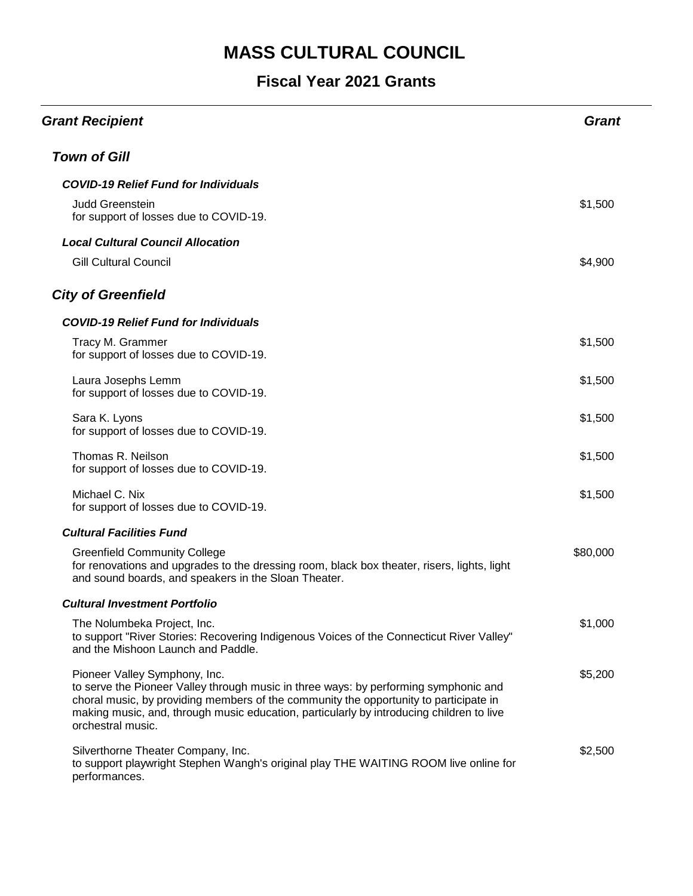| <b>Grant Recipient</b>                                                                                                                                                                                                                                                                                                          | <b>Grant</b> |
|---------------------------------------------------------------------------------------------------------------------------------------------------------------------------------------------------------------------------------------------------------------------------------------------------------------------------------|--------------|
| <b>Town of Gill</b>                                                                                                                                                                                                                                                                                                             |              |
| <b>COVID-19 Relief Fund for Individuals</b>                                                                                                                                                                                                                                                                                     |              |
| <b>Judd Greenstein</b><br>for support of losses due to COVID-19.                                                                                                                                                                                                                                                                | \$1,500      |
| <b>Local Cultural Council Allocation</b>                                                                                                                                                                                                                                                                                        |              |
| <b>Gill Cultural Council</b>                                                                                                                                                                                                                                                                                                    | \$4,900      |
| <b>City of Greenfield</b>                                                                                                                                                                                                                                                                                                       |              |
| <b>COVID-19 Relief Fund for Individuals</b>                                                                                                                                                                                                                                                                                     |              |
| Tracy M. Grammer<br>for support of losses due to COVID-19.                                                                                                                                                                                                                                                                      | \$1,500      |
| Laura Josephs Lemm<br>for support of losses due to COVID-19.                                                                                                                                                                                                                                                                    | \$1,500      |
| Sara K. Lyons<br>for support of losses due to COVID-19.                                                                                                                                                                                                                                                                         | \$1,500      |
| Thomas R. Neilson<br>for support of losses due to COVID-19.                                                                                                                                                                                                                                                                     | \$1,500      |
| Michael C. Nix<br>for support of losses due to COVID-19.                                                                                                                                                                                                                                                                        | \$1,500      |
| <b>Cultural Facilities Fund</b>                                                                                                                                                                                                                                                                                                 |              |
| <b>Greenfield Community College</b><br>for renovations and upgrades to the dressing room, black box theater, risers, lights, light<br>and sound boards, and speakers in the Sloan Theater.                                                                                                                                      | \$80,000     |
| <b>Cultural Investment Portfolio</b>                                                                                                                                                                                                                                                                                            |              |
| The Nolumbeka Project, Inc.<br>to support "River Stories: Recovering Indigenous Voices of the Connecticut River Valley"<br>and the Mishoon Launch and Paddle.                                                                                                                                                                   | \$1,000      |
| Pioneer Valley Symphony, Inc.<br>to serve the Pioneer Valley through music in three ways: by performing symphonic and<br>choral music, by providing members of the community the opportunity to participate in<br>making music, and, through music education, particularly by introducing children to live<br>orchestral music. | \$5,200      |
| Silverthorne Theater Company, Inc.<br>to support playwright Stephen Wangh's original play THE WAITING ROOM live online for<br>performances.                                                                                                                                                                                     | \$2,500      |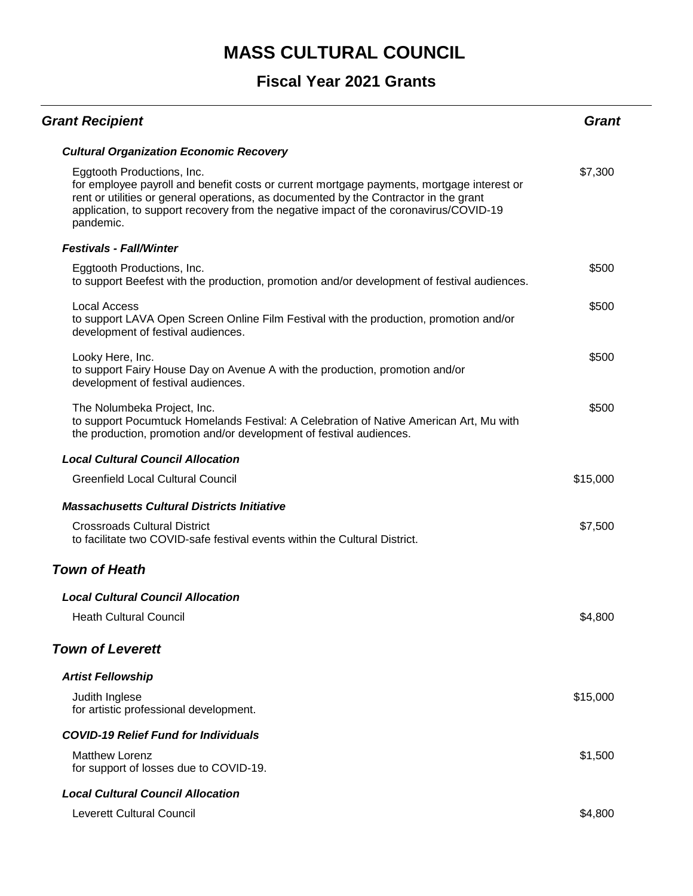| <b>Grant Recipient</b>                                                                                                                                                                                                                                                                                                 | Grant    |
|------------------------------------------------------------------------------------------------------------------------------------------------------------------------------------------------------------------------------------------------------------------------------------------------------------------------|----------|
| <b>Cultural Organization Economic Recovery</b>                                                                                                                                                                                                                                                                         |          |
| Eggtooth Productions, Inc.<br>for employee payroll and benefit costs or current mortgage payments, mortgage interest or<br>rent or utilities or general operations, as documented by the Contractor in the grant<br>application, to support recovery from the negative impact of the coronavirus/COVID-19<br>pandemic. | \$7,300  |
| <b>Festivals - Fall/Winter</b>                                                                                                                                                                                                                                                                                         |          |
| Eggtooth Productions, Inc.<br>to support Beefest with the production, promotion and/or development of festival audiences.                                                                                                                                                                                              | \$500    |
| <b>Local Access</b><br>to support LAVA Open Screen Online Film Festival with the production, promotion and/or<br>development of festival audiences.                                                                                                                                                                    | \$500    |
| Looky Here, Inc.<br>to support Fairy House Day on Avenue A with the production, promotion and/or<br>development of festival audiences.                                                                                                                                                                                 | \$500    |
| The Nolumbeka Project, Inc.<br>to support Pocumtuck Homelands Festival: A Celebration of Native American Art, Mu with<br>the production, promotion and/or development of festival audiences.                                                                                                                           | \$500    |
| <b>Local Cultural Council Allocation</b>                                                                                                                                                                                                                                                                               |          |
| <b>Greenfield Local Cultural Council</b>                                                                                                                                                                                                                                                                               | \$15,000 |
| <b>Massachusetts Cultural Districts Initiative</b>                                                                                                                                                                                                                                                                     |          |
| <b>Crossroads Cultural District</b><br>to facilitate two COVID-safe festival events within the Cultural District.                                                                                                                                                                                                      | \$7,500  |
| <b>Town of Heath</b>                                                                                                                                                                                                                                                                                                   |          |
| <b>Local Cultural Council Allocation</b>                                                                                                                                                                                                                                                                               |          |
| <b>Heath Cultural Council</b>                                                                                                                                                                                                                                                                                          | \$4,800  |
| <b>Town of Leverett</b>                                                                                                                                                                                                                                                                                                |          |
| <b>Artist Fellowship</b>                                                                                                                                                                                                                                                                                               |          |
| Judith Inglese<br>for artistic professional development.                                                                                                                                                                                                                                                               | \$15,000 |
| <b>COVID-19 Relief Fund for Individuals</b>                                                                                                                                                                                                                                                                            |          |
| <b>Matthew Lorenz</b><br>for support of losses due to COVID-19.                                                                                                                                                                                                                                                        | \$1,500  |
| <b>Local Cultural Council Allocation</b>                                                                                                                                                                                                                                                                               |          |
| <b>Leverett Cultural Council</b>                                                                                                                                                                                                                                                                                       | \$4,800  |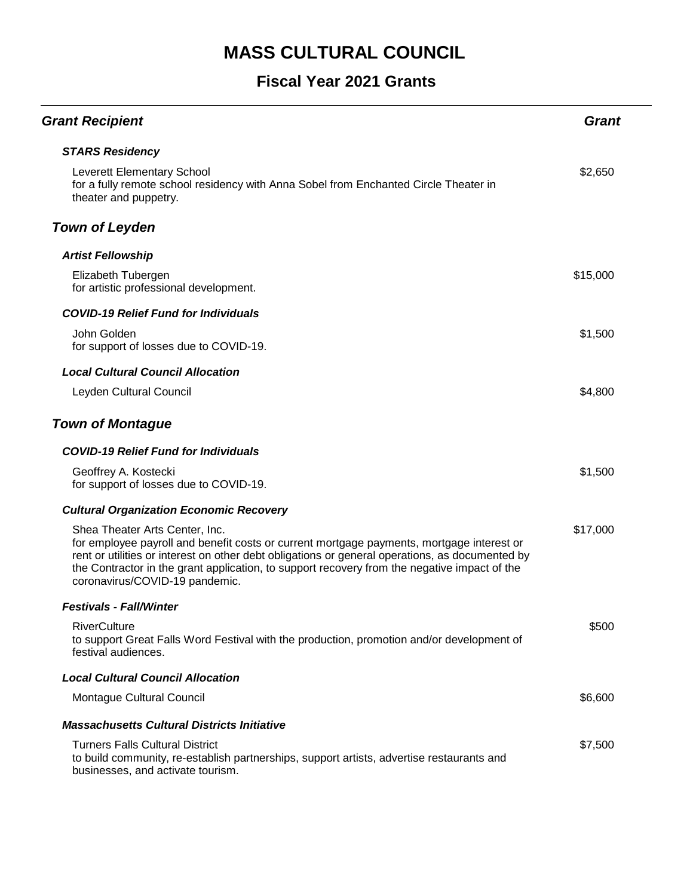| <b>Grant Recipient</b>                                                                                                                                                                                                                                                                                                                                           | Grant    |
|------------------------------------------------------------------------------------------------------------------------------------------------------------------------------------------------------------------------------------------------------------------------------------------------------------------------------------------------------------------|----------|
| <b>STARS Residency</b>                                                                                                                                                                                                                                                                                                                                           |          |
| <b>Leverett Elementary School</b><br>for a fully remote school residency with Anna Sobel from Enchanted Circle Theater in<br>theater and puppetry.                                                                                                                                                                                                               | \$2,650  |
| <b>Town of Leyden</b>                                                                                                                                                                                                                                                                                                                                            |          |
| <b>Artist Fellowship</b>                                                                                                                                                                                                                                                                                                                                         |          |
| Elizabeth Tubergen<br>for artistic professional development.                                                                                                                                                                                                                                                                                                     | \$15,000 |
| <b>COVID-19 Relief Fund for Individuals</b>                                                                                                                                                                                                                                                                                                                      |          |
| John Golden<br>for support of losses due to COVID-19.                                                                                                                                                                                                                                                                                                            | \$1,500  |
| <b>Local Cultural Council Allocation</b>                                                                                                                                                                                                                                                                                                                         |          |
| Leyden Cultural Council                                                                                                                                                                                                                                                                                                                                          | \$4,800  |
| <b>Town of Montague</b>                                                                                                                                                                                                                                                                                                                                          |          |
| <b>COVID-19 Relief Fund for Individuals</b>                                                                                                                                                                                                                                                                                                                      |          |
| Geoffrey A. Kostecki<br>for support of losses due to COVID-19.                                                                                                                                                                                                                                                                                                   | \$1,500  |
| <b>Cultural Organization Economic Recovery</b>                                                                                                                                                                                                                                                                                                                   |          |
| Shea Theater Arts Center, Inc.<br>for employee payroll and benefit costs or current mortgage payments, mortgage interest or<br>rent or utilities or interest on other debt obligations or general operations, as documented by<br>the Contractor in the grant application, to support recovery from the negative impact of the<br>coronavirus/COVID-19 pandemic. | \$17,000 |
| <b>Festivals - Fall/Winter</b>                                                                                                                                                                                                                                                                                                                                   |          |
| <b>RiverCulture</b><br>to support Great Falls Word Festival with the production, promotion and/or development of<br>festival audiences.                                                                                                                                                                                                                          | \$500    |
| <b>Local Cultural Council Allocation</b>                                                                                                                                                                                                                                                                                                                         |          |
| Montague Cultural Council                                                                                                                                                                                                                                                                                                                                        | \$6,600  |
| <b>Massachusetts Cultural Districts Initiative</b>                                                                                                                                                                                                                                                                                                               |          |
| <b>Turners Falls Cultural District</b><br>to build community, re-establish partnerships, support artists, advertise restaurants and<br>businesses, and activate tourism.                                                                                                                                                                                         | \$7,500  |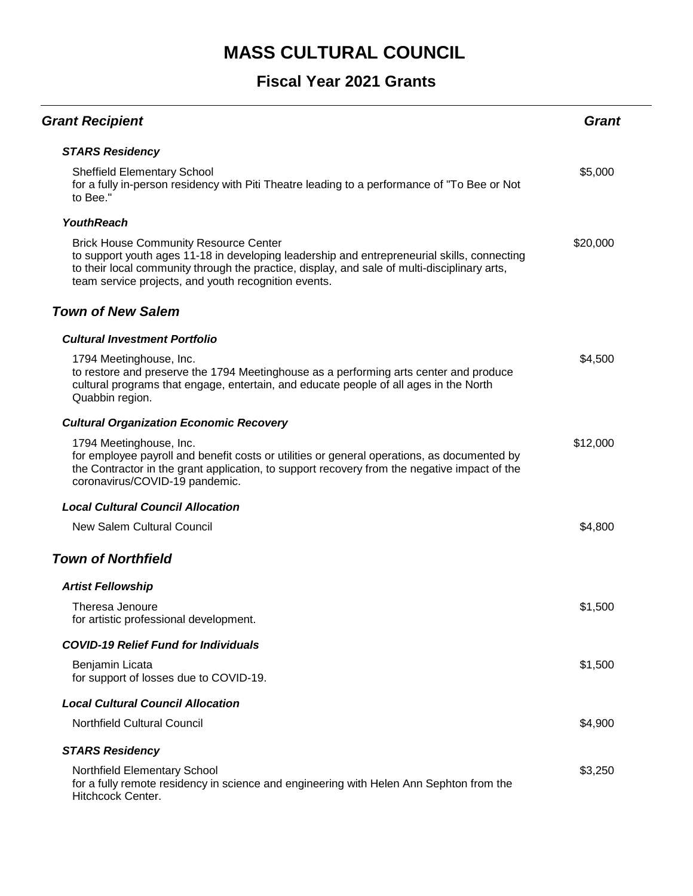| <b>Grant Recipient</b>                                                                                                                                                                                                                                                                              | <b>Grant</b> |
|-----------------------------------------------------------------------------------------------------------------------------------------------------------------------------------------------------------------------------------------------------------------------------------------------------|--------------|
| <b>STARS Residency</b>                                                                                                                                                                                                                                                                              |              |
| <b>Sheffield Elementary School</b><br>for a fully in-person residency with Piti Theatre leading to a performance of "To Bee or Not<br>to Bee."                                                                                                                                                      | \$5,000      |
| <b>YouthReach</b>                                                                                                                                                                                                                                                                                   |              |
| <b>Brick House Community Resource Center</b><br>to support youth ages 11-18 in developing leadership and entrepreneurial skills, connecting<br>to their local community through the practice, display, and sale of multi-disciplinary arts,<br>team service projects, and youth recognition events. | \$20,000     |
| <b>Town of New Salem</b>                                                                                                                                                                                                                                                                            |              |
| <b>Cultural Investment Portfolio</b>                                                                                                                                                                                                                                                                |              |
| 1794 Meetinghouse, Inc.<br>to restore and preserve the 1794 Meetinghouse as a performing arts center and produce<br>cultural programs that engage, entertain, and educate people of all ages in the North<br>Quabbin region.                                                                        | \$4,500      |
| <b>Cultural Organization Economic Recovery</b>                                                                                                                                                                                                                                                      |              |
| 1794 Meetinghouse, Inc.<br>for employee payroll and benefit costs or utilities or general operations, as documented by<br>the Contractor in the grant application, to support recovery from the negative impact of the<br>coronavirus/COVID-19 pandemic.                                            | \$12,000     |
| <b>Local Cultural Council Allocation</b>                                                                                                                                                                                                                                                            |              |
| <b>New Salem Cultural Council</b>                                                                                                                                                                                                                                                                   | \$4,800      |
| <b>Town of Northfield</b>                                                                                                                                                                                                                                                                           |              |
| <b>Artist Fellowship</b>                                                                                                                                                                                                                                                                            |              |
| Theresa Jenoure<br>for artistic professional development.                                                                                                                                                                                                                                           | \$1,500      |
| <b>COVID-19 Relief Fund for Individuals</b>                                                                                                                                                                                                                                                         |              |
| Benjamin Licata<br>for support of losses due to COVID-19.                                                                                                                                                                                                                                           | \$1,500      |
| <b>Local Cultural Council Allocation</b>                                                                                                                                                                                                                                                            |              |
| <b>Northfield Cultural Council</b>                                                                                                                                                                                                                                                                  | \$4,900      |
| <b>STARS Residency</b>                                                                                                                                                                                                                                                                              |              |
| Northfield Elementary School<br>for a fully remote residency in science and engineering with Helen Ann Sephton from the<br>Hitchcock Center.                                                                                                                                                        | \$3,250      |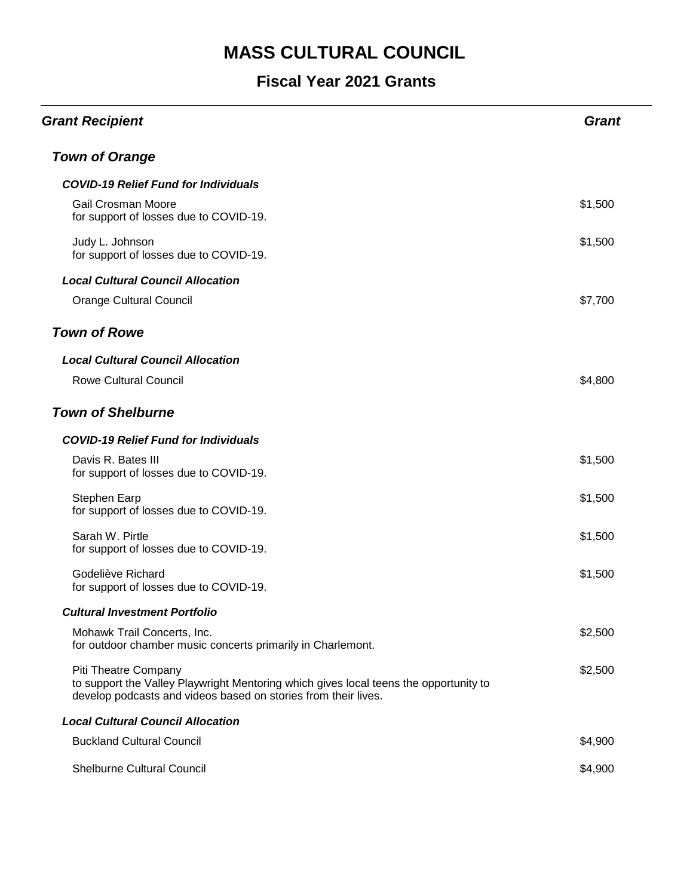| <b>Grant Recipient</b>                                                                                                                                                          | <b>Grant</b> |
|---------------------------------------------------------------------------------------------------------------------------------------------------------------------------------|--------------|
| <b>Town of Orange</b>                                                                                                                                                           |              |
| <b>COVID-19 Relief Fund for Individuals</b>                                                                                                                                     |              |
| Gail Crosman Moore<br>for support of losses due to COVID-19.                                                                                                                    | \$1,500      |
| Judy L. Johnson<br>for support of losses due to COVID-19.                                                                                                                       | \$1,500      |
| <b>Local Cultural Council Allocation</b>                                                                                                                                        |              |
| <b>Orange Cultural Council</b>                                                                                                                                                  | \$7,700      |
| <b>Town of Rowe</b>                                                                                                                                                             |              |
| <b>Local Cultural Council Allocation</b>                                                                                                                                        |              |
| <b>Rowe Cultural Council</b>                                                                                                                                                    | \$4,800      |
| <b>Town of Shelburne</b>                                                                                                                                                        |              |
| <b>COVID-19 Relief Fund for Individuals</b>                                                                                                                                     |              |
| Davis R. Bates III<br>for support of losses due to COVID-19.                                                                                                                    | \$1,500      |
| Stephen Earp<br>for support of losses due to COVID-19.                                                                                                                          | \$1,500      |
| Sarah W. Pirtle<br>for support of losses due to COVID-19.                                                                                                                       | \$1,500      |
| Godeliève Richard<br>for support of losses due to COVID-19.                                                                                                                     | \$1,500      |
| <b>Cultural Investment Portfolio</b>                                                                                                                                            |              |
| Mohawk Trail Concerts, Inc.<br>for outdoor chamber music concerts primarily in Charlemont.                                                                                      | \$2,500      |
| Piti Theatre Company<br>to support the Valley Playwright Mentoring which gives local teens the opportunity to<br>develop podcasts and videos based on stories from their lives. | \$2,500      |
| <b>Local Cultural Council Allocation</b>                                                                                                                                        |              |
| <b>Buckland Cultural Council</b>                                                                                                                                                | \$4,900      |
| <b>Shelburne Cultural Council</b>                                                                                                                                               | \$4,900      |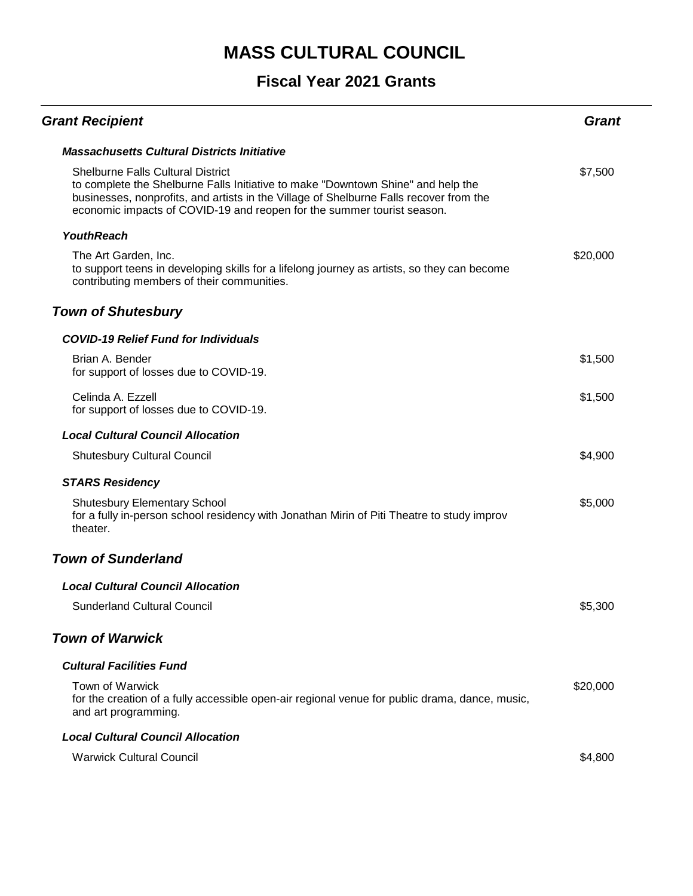| <b>Grant Recipient</b>                                                                                                                                                                                                                                                                           | Grant    |
|--------------------------------------------------------------------------------------------------------------------------------------------------------------------------------------------------------------------------------------------------------------------------------------------------|----------|
| <b>Massachusetts Cultural Districts Initiative</b>                                                                                                                                                                                                                                               |          |
| <b>Shelburne Falls Cultural District</b><br>to complete the Shelburne Falls Initiative to make "Downtown Shine" and help the<br>businesses, nonprofits, and artists in the Village of Shelburne Falls recover from the<br>economic impacts of COVID-19 and reopen for the summer tourist season. | \$7,500  |
| <b>YouthReach</b>                                                                                                                                                                                                                                                                                |          |
| The Art Garden, Inc.<br>to support teens in developing skills for a lifelong journey as artists, so they can become<br>contributing members of their communities.                                                                                                                                | \$20,000 |
| <b>Town of Shutesbury</b>                                                                                                                                                                                                                                                                        |          |
| <b>COVID-19 Relief Fund for Individuals</b>                                                                                                                                                                                                                                                      |          |
| Brian A. Bender<br>for support of losses due to COVID-19.                                                                                                                                                                                                                                        | \$1,500  |
| Celinda A. Ezzell<br>for support of losses due to COVID-19.                                                                                                                                                                                                                                      | \$1,500  |
| <b>Local Cultural Council Allocation</b>                                                                                                                                                                                                                                                         |          |
| <b>Shutesbury Cultural Council</b>                                                                                                                                                                                                                                                               | \$4,900  |
| <b>STARS Residency</b>                                                                                                                                                                                                                                                                           |          |
| <b>Shutesbury Elementary School</b><br>for a fully in-person school residency with Jonathan Mirin of Piti Theatre to study improv<br>theater.                                                                                                                                                    | \$5,000  |
| <b>Town of Sunderland</b>                                                                                                                                                                                                                                                                        |          |
| <b>Local Cultural Council Allocation</b>                                                                                                                                                                                                                                                         |          |
| <b>Sunderland Cultural Council</b>                                                                                                                                                                                                                                                               | \$5,300  |
| <b>Town of Warwick</b>                                                                                                                                                                                                                                                                           |          |
| <b>Cultural Facilities Fund</b>                                                                                                                                                                                                                                                                  |          |
| <b>Town of Warwick</b><br>for the creation of a fully accessible open-air regional venue for public drama, dance, music,<br>and art programming.                                                                                                                                                 | \$20,000 |
| <b>Local Cultural Council Allocation</b>                                                                                                                                                                                                                                                         |          |
| <b>Warwick Cultural Council</b>                                                                                                                                                                                                                                                                  | \$4,800  |